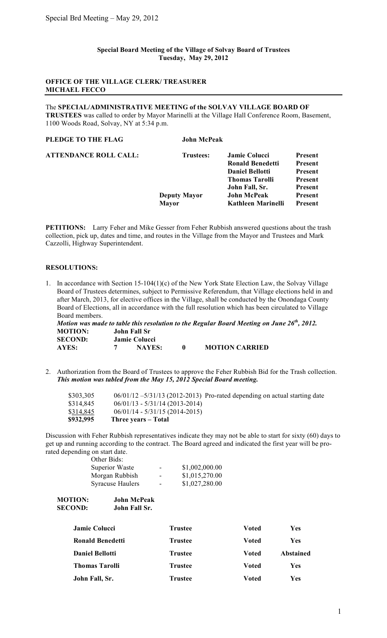### **Special Board Meeting of the Village of Solvay Board of Trustees Tuesday, May 29, 2012**

### **OFFICE OF THE VILLAGE CLERK/ TREASURER MICHAEL FECCO**

The **SPECIAL/ADMINISTRATIVE MEETING of the SOLVAY VILLAGE BOARD OF TRUSTEES** was called to order by Mayor Marinelli at the Village Hall Conference Room, Basement, 1100 Woods Road, Solvay, NY at 5:34 p.m.

| PLEDGE TO THE FLAG           | <b>John McPeak</b>  |                           |                |
|------------------------------|---------------------|---------------------------|----------------|
| <b>ATTENDANCE ROLL CALL:</b> | <b>Trustees:</b>    | <b>Jamie Colucci</b>      | <b>Present</b> |
|                              |                     | <b>Ronald Benedetti</b>   | <b>Present</b> |
|                              |                     | <b>Daniel Bellotti</b>    | Present        |
|                              |                     | <b>Thomas Tarolli</b>     | Present        |
|                              |                     | John Fall, Sr.            | <b>Present</b> |
|                              | <b>Deputy Mayor</b> | <b>John McPeak</b>        | Present        |
|                              | <b>Mayor</b>        | <b>Kathleen Marinelli</b> | <b>Present</b> |
|                              |                     |                           |                |

**PETITIONS:** Larry Feher and Mike Gesser from Feher Rubbish answered questions about the trash collection, pick up, dates and time, and routes in the Village from the Mayor and Trustees and Mark Cazzolli, Highway Superintendent.

## **RESOLUTIONS:**

1. In accordance with Section 15-104(1)(c) of the New York State Election Law, the Solvay Village Board of Trustees determines, subject to Permissive Referendum, that Village elections held in and after March, 2013, for elective offices in the Village, shall be conducted by the Onondaga County Board of Elections, all in accordance with the full resolution which has been circulated to Village Board members.

*Motion was made to table this resolution to the Regular Board Meeting on June 26th, 2012.* **MOTION: John Fall Sr SECOND: Jamie Colucci AYES: 7 NAYES: 0 MOTION CARRIED**

2. Authorization from the Board of Trustees to approve the Feher Rubbish Bid for the Trash collection. *This motion was tabled from the May 15, 2012 Special Board meeting.*

| $06/01/12 - 5/31/13$ (2012-2013) Pro-rated depending on actual starting date |
|------------------------------------------------------------------------------|
|                                                                              |

Discussion with Feher Rubbish representatives indicate they may not be able to start for sixty (60) days to get up and running according to the contract. The Board agreed and indicated the first year will be prorated depending on start date.

|  |  | 5 on start date |
|--|--|-----------------|
|  |  | Other Bids:     |

| Superior Waste          | -                        | \$1,002,000.00 |
|-------------------------|--------------------------|----------------|
| Morgan Rubbish          | -                        | \$1,015,270.00 |
| <b>Syracuse Haulers</b> | $\overline{\phantom{0}}$ | \$1,027,280.00 |

| <b>MOTION:</b> | John McPeak   |
|----------------|---------------|
| <b>SECOND:</b> | John Fall Sr. |

| <b>Jamie Colucci</b>   | <b>Trustee</b> | Voted | Yes        |
|------------------------|----------------|-------|------------|
| Ronald Benedetti       | <b>Trustee</b> | Voted | Yes        |
| <b>Daniel Bellotti</b> | <b>Trustee</b> | Voted | Abstained  |
| <b>Thomas Tarolli</b>  | <b>Trustee</b> | Voted | <b>Yes</b> |
| John Fall, Sr.         | <b>Trustee</b> | Voted | <b>Yes</b> |